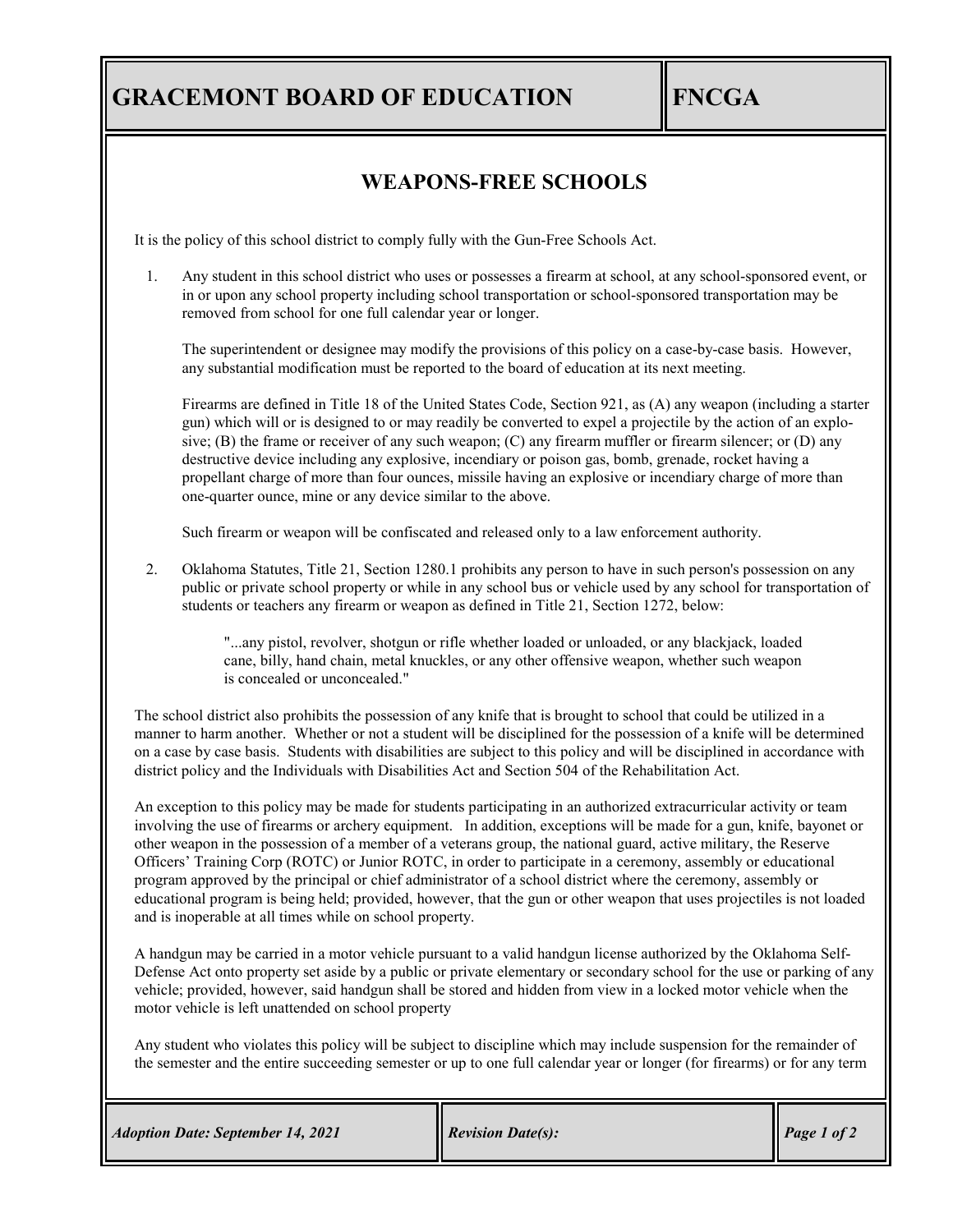## **GRACEMONT BOARD OF EDUCATION FNCGA**

## **WEAPONS-FREE SCHOOLS**

It is the policy of this school district to comply fully with the Gun-Free Schools Act.

1. Any student in this school district who uses or possesses a firearm at school, at any school-sponsored event, or in or upon any school property including school transportation or school-sponsored transportation may be removed from school for one full calendar year or longer.

The superintendent or designee may modify the provisions of this policy on a case-by-case basis. However, any substantial modification must be reported to the board of education at its next meeting.

Firearms are defined in Title 18 of the United States Code, Section 921, as (A) any weapon (including a starter gun) which will or is designed to or may readily be converted to expel a projectile by the action of an explosive; (B) the frame or receiver of any such weapon; (C) any firearm muffler or firearm silencer; or (D) any destructive device including any explosive, incendiary or poison gas, bomb, grenade, rocket having a propellant charge of more than four ounces, missile having an explosive or incendiary charge of more than one-quarter ounce, mine or any device similar to the above.

Such firearm or weapon will be confiscated and released only to a law enforcement authority.

2. Oklahoma Statutes, Title 21, Section 1280.1 prohibits any person to have in such person's possession on any public or private school property or while in any school bus or vehicle used by any school for transportation of students or teachers any firearm or weapon as defined in Title 21, Section 1272, below:

> "...any pistol, revolver, shotgun or rifle whether loaded or unloaded, or any blackjack, loaded cane, billy, hand chain, metal knuckles, or any other offensive weapon, whether such weapon is concealed or unconcealed."

The school district also prohibits the possession of any knife that is brought to school that could be utilized in a manner to harm another. Whether or not a student will be disciplined for the possession of a knife will be determined on a case by case basis. Students with disabilities are subject to this policy and will be disciplined in accordance with district policy and the Individuals with Disabilities Act and Section 504 of the Rehabilitation Act.

An exception to this policy may be made for students participating in an authorized extracurricular activity or team involving the use of firearms or archery equipment. In addition, exceptions will be made for a gun, knife, bayonet or other weapon in the possession of a member of a veterans group, the national guard, active military, the Reserve Officers' Training Corp (ROTC) or Junior ROTC, in order to participate in a ceremony, assembly or educational program approved by the principal or chief administrator of a school district where the ceremony, assembly or educational program is being held; provided, however, that the gun or other weapon that uses projectiles is not loaded and is inoperable at all times while on school property.

A handgun may be carried in a motor vehicle pursuant to a valid handgun license authorized by the Oklahoma Self-Defense Act onto property set aside by a public or private elementary or secondary school for the use or parking of any vehicle; provided, however, said handgun shall be stored and hidden from view in a locked motor vehicle when the motor vehicle is left unattended on school property

Any student who violates this policy will be subject to discipline which may include suspension for the remainder of the semester and the entire succeeding semester or up to one full calendar year or longer (for firearms) or for any term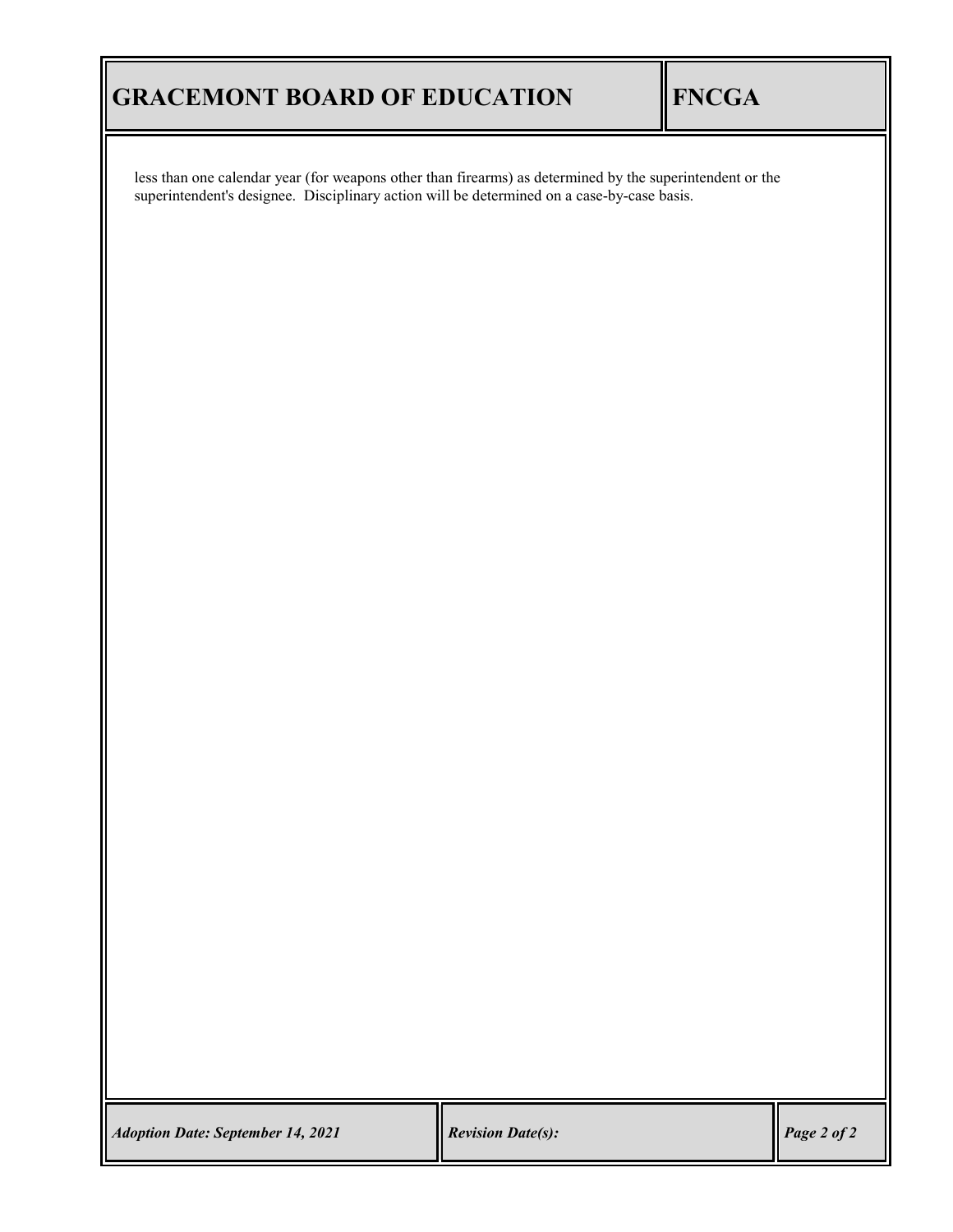# **GRACEMONT BOARD OF EDUCATION FNCGA**

less than one calendar year (for weapons other than firearms) as determined by the superintendent or the superintendent's designee. Disciplinary action will be determined on a case-by-case basis.